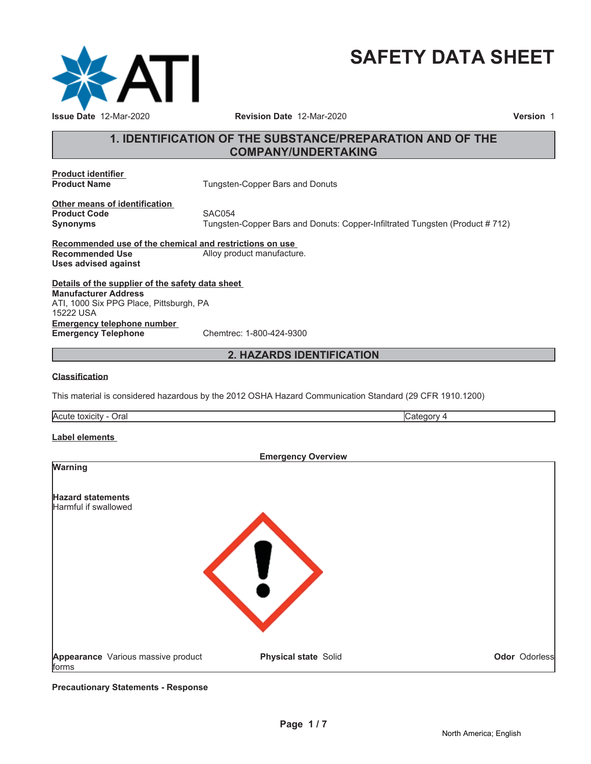

# **SAFETY DATA SHEET**

# **1. IDENTIFICATION OF THE SUBSTANCE/PREPARATION AND OF THE COMPANY/UNDERTAKING**

**Product identifier**

**Tungsten-Copper Bars and Donuts** 

**Other means of identification Product Code SAC054** 

**Synonyms** Tungsten-Copper Bars and Donuts: Copper-Infiltrated Tungsten (Product # 712)

**Recommended use of the chemical and restrictions on use** Alloy product manufacture. **Uses advised against**

**Details of the supplier of the safety data sheet Emergency telephone number Emergency Telephone** Chemtrec: 1-800-424-9300 **Manufacturer Address** ATI, 1000 Six PPG Place, Pittsburgh, PA 15222 USA

# **2. HAZARDS IDENTIFICATION**

#### **Classification**

This material is considered hazardous by the 2012 OSHA Hazard Communication Standard (29 CFR 1910.1200)

Acute toxicity - Oral Category 4

#### **Label elements**

| <b>Emergency Overview</b>                        |                      |               |  |
|--------------------------------------------------|----------------------|---------------|--|
| <b>Warning</b>                                   |                      |               |  |
| <b>Hazard statements</b><br>Harmful if swallowed |                      |               |  |
| Appearance Various massive product<br>forms      | Physical state Solid | Odor Odorless |  |

**Precautionary Statements - Response**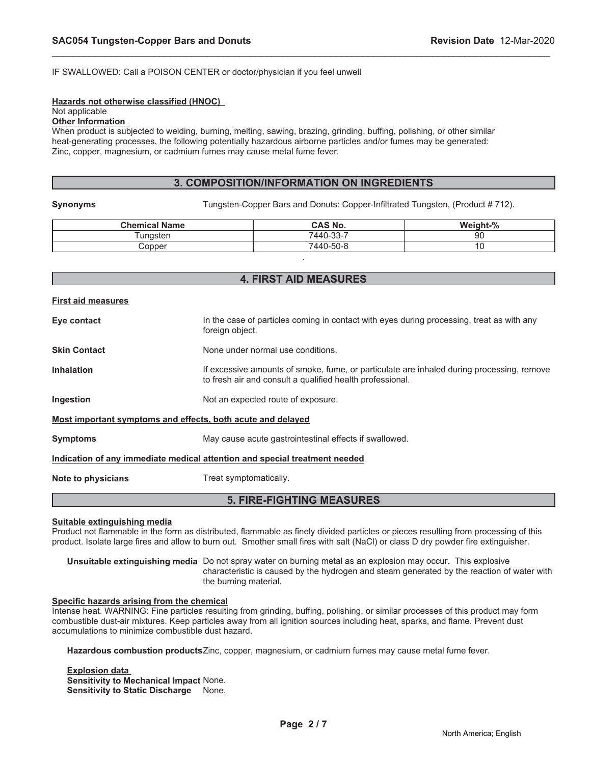#### IF SWALLOWED: Call a POISON CENTER or doctor/physician if you feel unwell

#### **Hazards not otherwise classified (HNOC)**

#### Not applicable

#### **Other Information**

When product is subjected to welding, burning, melting, sawing, brazing, grinding, buffing, polishing, or other similar heat-generating processes, the following potentially hazardous airborne particles and/or fumes may be generated: Zinc, copper, magnesium, or cadmium fumes may cause metal fume fever.

#### **3. COMPOSITION/INFORMATION ON INGREDIENTS**

\_\_\_\_\_\_\_\_\_\_\_\_\_\_\_\_\_\_\_\_\_\_\_\_\_\_\_\_\_\_\_\_\_\_\_\_\_\_\_\_\_\_\_\_\_\_\_\_\_\_\_\_\_\_\_\_\_\_\_\_\_\_\_\_\_\_\_\_\_\_\_\_\_\_\_\_\_\_\_\_\_\_\_\_\_\_\_\_\_\_\_\_\_

**Synonyms** Tungsten-Copper Bars and Donuts: Copper-Infiltrated Tungsten, (Product # 712).

| <b>Chemical Name</b> | <b>CAS No.</b> | Weight-% |
|----------------------|----------------|----------|
| ⊺unɑsten             | 7440-33-7      | 90       |
| :opper               | 7440-50-8      | u        |
|                      |                |          |

### **4. FIRST AID MEASURES**

| <b>First aid measures</b>                                   |                                                                                                                                                        |
|-------------------------------------------------------------|--------------------------------------------------------------------------------------------------------------------------------------------------------|
| Eye contact                                                 | In the case of particles coming in contact with eyes during processing, treat as with any<br>foreign object.                                           |
| <b>Skin Contact</b>                                         | None under normal use conditions.                                                                                                                      |
| <b>Inhalation</b>                                           | If excessive amounts of smoke, fume, or particulate are inhaled during processing, remove<br>to fresh air and consult a qualified health professional. |
| Ingestion                                                   | Not an expected route of exposure.                                                                                                                     |
| Most important symptoms and effects, both acute and delayed |                                                                                                                                                        |
| <b>Symptoms</b>                                             | May cause acute gastrointestinal effects if swallowed.                                                                                                 |
|                                                             | Indication of any immediate medical attention and special treatment needed                                                                             |
| Note to physicians                                          | Treat symptomatically.                                                                                                                                 |

# **5. FIRE-FIGHTING MEASURES**

#### **Suitable extinguishing media**

Product not flammable in the form as distributed, flammable as finely divided particles or pieces resulting from processing of this product. Isolate large fires and allow to burn out. Smother small fires with salt (NaCl) or class D dry powder fire extinguisher.

**Unsuitable extinguishing media** Do not spray water on burning metal as an explosion may occur. This explosive characteristic is caused by the hydrogen and steam generated by the reaction of water with the burning material.

#### **Specific hazards arising from the chemical**

Intense heat. WARNING: Fine particles resulting from grinding, buffing, polishing, or similar processes of this product may form combustible dust-air mixtures. Keep particles away from all ignition sources including heat, sparks, and flame. Prevent dust accumulations to minimize combustible dust hazard.

**Hazardous combustion products**Zinc, copper, magnesium, or cadmium fumes may cause metal fume fever.

**Explosion data Sensitivity to Mechanical Impact** None. **Sensitivity to Static Discharge** None.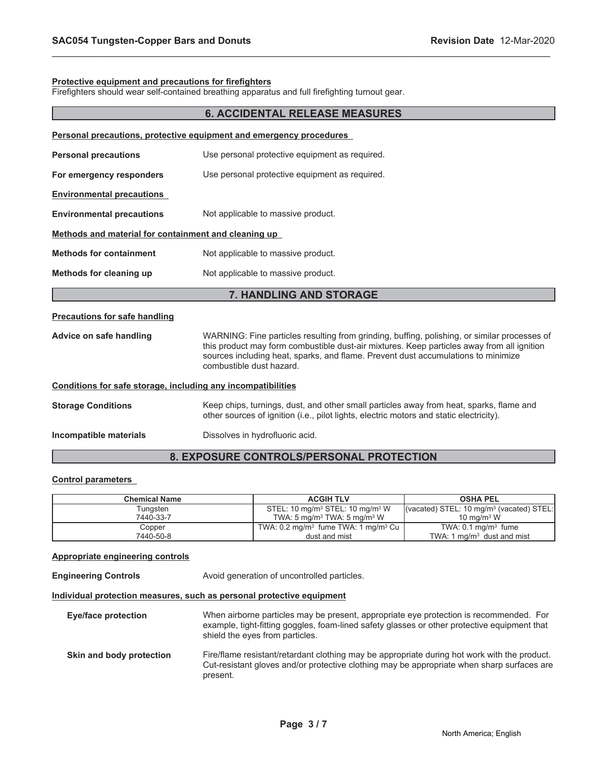#### **Protective equipment and precautions for firefighters**

Firefighters should wear self-contained breathing apparatus and full firefighting turnout gear.

| <b>6. ACCIDENTAL RELEASE MEASURES</b>                               |                                                                                                                                                                                                                                                                                                             |  |  |
|---------------------------------------------------------------------|-------------------------------------------------------------------------------------------------------------------------------------------------------------------------------------------------------------------------------------------------------------------------------------------------------------|--|--|
| Personal precautions, protective equipment and emergency procedures |                                                                                                                                                                                                                                                                                                             |  |  |
| <b>Personal precautions</b>                                         | Use personal protective equipment as required.                                                                                                                                                                                                                                                              |  |  |
| For emergency responders                                            | Use personal protective equipment as required.                                                                                                                                                                                                                                                              |  |  |
| <b>Environmental precautions</b>                                    |                                                                                                                                                                                                                                                                                                             |  |  |
| <b>Environmental precautions</b>                                    | Not applicable to massive product.                                                                                                                                                                                                                                                                          |  |  |
| Methods and material for containment and cleaning up                |                                                                                                                                                                                                                                                                                                             |  |  |
| <b>Methods for containment</b>                                      | Not applicable to massive product.                                                                                                                                                                                                                                                                          |  |  |
| Methods for cleaning up                                             | Not applicable to massive product.                                                                                                                                                                                                                                                                          |  |  |
|                                                                     | 7. HANDLING AND STORAGE                                                                                                                                                                                                                                                                                     |  |  |
| <b>Precautions for safe handling</b>                                |                                                                                                                                                                                                                                                                                                             |  |  |
| Advice on safe handling                                             | WARNING: Fine particles resulting from grinding, buffing, polishing, or similar processes of<br>this product may form combustible dust-air mixtures. Keep particles away from all ignition<br>sources including heat, sparks, and flame. Prevent dust accumulations to minimize<br>combustible dust hazard. |  |  |
| Conditions for safe storage, including any incompatibilities        |                                                                                                                                                                                                                                                                                                             |  |  |
| <b>Storage Conditions</b>                                           | Keep chips, turnings, dust, and other small particles away from heat, sparks, flame and<br>other sources of ignition (i.e., pilot lights, electric motors and static electricity).                                                                                                                          |  |  |
| Incompatible materials                                              | Dissolves in hydrofluoric acid.                                                                                                                                                                                                                                                                             |  |  |

\_\_\_\_\_\_\_\_\_\_\_\_\_\_\_\_\_\_\_\_\_\_\_\_\_\_\_\_\_\_\_\_\_\_\_\_\_\_\_\_\_\_\_\_\_\_\_\_\_\_\_\_\_\_\_\_\_\_\_\_\_\_\_\_\_\_\_\_\_\_\_\_\_\_\_\_\_\_\_\_\_\_\_\_\_\_\_\_\_\_\_\_\_

# **8. EXPOSURE CONTROLS/PERSONAL PROTECTION**

#### **Control parameters**

| <b>Chemical Name</b> | <b>ACGIH TLV</b>                                           | <b>OSHA PEL</b>                            |
|----------------------|------------------------------------------------------------|--------------------------------------------|
| Tungsten             | STEL: 10 mg/m <sup>3</sup> STEL: 10 mg/m <sup>3</sup> W    | (vacated) STEL: 10 $mg/m3$ (vacated) STEL: |
| 7440-33-7            | TWA: 5 mg/m <sup>3</sup> TWA: 5 mg/m <sup>3</sup> W        | $10 \text{ ma/m}^3$ W                      |
| Copper               | TWA: $0.2 \text{ mg/m}^3$ fume TWA: 1 mg/m <sup>3</sup> Cu | TWA: $0.1 \text{ mg/m}^3$ fume             |
| 7440-50-8            | dust and mist                                              | TWA: 1 $\text{ma/m}^3$ dust and mist       |

### **Appropriate engineering controls**

**Engineering Controls Avoid generation of uncontrolled particles.** 

#### **Individual protection measures, such as personal protective equipment**

**Eye/face protection** When airborne particles may be present, appropriate eye protection is recommended. For example, tight-fitting goggles, foam-lined safety glasses or other protective equipment that shield the eyes from particles. **Skin and body protection** Fire/flame resistant/retardant clothing may be appropriate during hot work with the product. Cut-resistant gloves and/or protective clothing may be appropriate when sharp surfaces are present.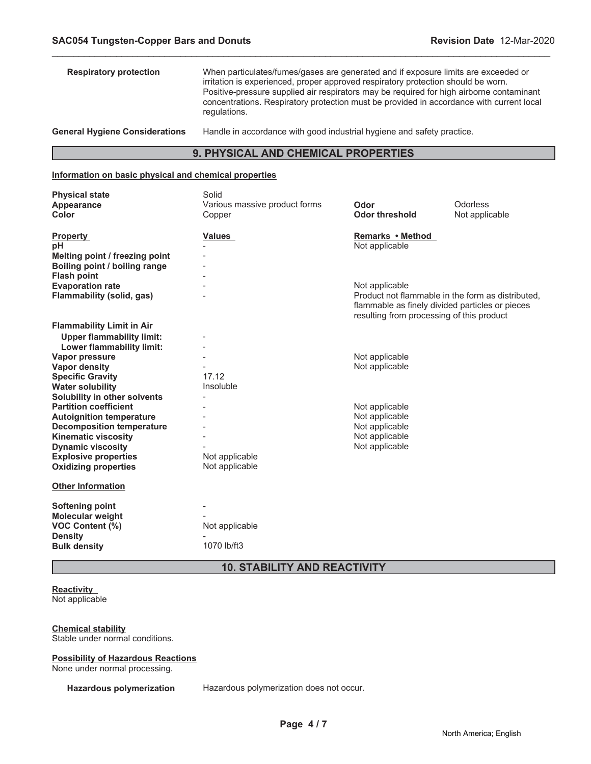| <b>Respiratory protection</b>         | When particulates/fumes/gases are generated and if exposure limits are exceeded or<br>irritation is experienced, proper approved respiratory protection should be worn.<br>Positive-pressure supplied air respirators may be required for high airborne contaminant<br>concentrations. Respiratory protection must be provided in accordance with current local<br>regulations. |
|---------------------------------------|---------------------------------------------------------------------------------------------------------------------------------------------------------------------------------------------------------------------------------------------------------------------------------------------------------------------------------------------------------------------------------|
| <b>General Hygiene Considerations</b> | Handle in accordance with good industrial hygiene and safety practice.                                                                                                                                                                                                                                                                                                          |

\_\_\_\_\_\_\_\_\_\_\_\_\_\_\_\_\_\_\_\_\_\_\_\_\_\_\_\_\_\_\_\_\_\_\_\_\_\_\_\_\_\_\_\_\_\_\_\_\_\_\_\_\_\_\_\_\_\_\_\_\_\_\_\_\_\_\_\_\_\_\_\_\_\_\_\_\_\_\_\_\_\_\_\_\_\_\_\_\_\_\_\_\_

# **9. PHYSICAL AND CHEMICAL PROPERTIES**

# **Information on basic physical and chemical properties**

| <b>Physical state</b><br>Appearance<br><b>Color</b>                                                                                                               | Solid<br>Various massive product forms<br>Copper     | Odor<br><b>Odor threshold</b>                                                                                                                                       | Odorless<br>Not applicable |
|-------------------------------------------------------------------------------------------------------------------------------------------------------------------|------------------------------------------------------|---------------------------------------------------------------------------------------------------------------------------------------------------------------------|----------------------------|
| <b>Property</b><br>рH<br>Melting point / freezing point<br>Boiling point / boiling range<br><b>Flash point</b>                                                    | Values                                               | Remarks • Method<br>Not applicable                                                                                                                                  |                            |
| <b>Evaporation rate</b><br>Flammability (solid, gas)                                                                                                              |                                                      | Not applicable<br>Product not flammable in the form as distributed.<br>flammable as finely divided particles or pieces<br>resulting from processing of this product |                            |
| <b>Flammability Limit in Air</b><br><b>Upper flammability limit:</b><br>Lower flammability limit:                                                                 |                                                      |                                                                                                                                                                     |                            |
| Vapor pressure<br><b>Vapor density</b><br><b>Specific Gravity</b><br><b>Water solubility</b>                                                                      | 17.12<br>Insoluble                                   | Not applicable<br>Not applicable                                                                                                                                    |                            |
| Solubility in other solvents<br><b>Partition coefficient</b><br><b>Autoignition temperature</b><br><b>Decomposition temperature</b><br><b>Kinematic viscosity</b> | $\overline{\phantom{a}}$<br>$\overline{\phantom{a}}$ | Not applicable<br>Not applicable<br>Not applicable<br>Not applicable                                                                                                |                            |
| <b>Dynamic viscosity</b><br><b>Explosive properties</b><br><b>Oxidizing properties</b>                                                                            | Not applicable<br>Not applicable                     | Not applicable                                                                                                                                                      |                            |
| <b>Other Information</b>                                                                                                                                          |                                                      |                                                                                                                                                                     |                            |
| <b>Softening point</b><br>Molecular weight<br><b>VOC Content (%)</b><br><b>Density</b><br><b>Bulk density</b>                                                     | Not applicable<br>1070 lb/ft3                        |                                                                                                                                                                     |                            |

**10. STABILITY AND REACTIVITY**

#### **Reactivity** Not applicable

**Chemical stability** Stable under normal conditions.

#### **Possibility of Hazardous Reactions**

None under normal processing.

**Hazardous polymerization** Hazardous polymerization does not occur.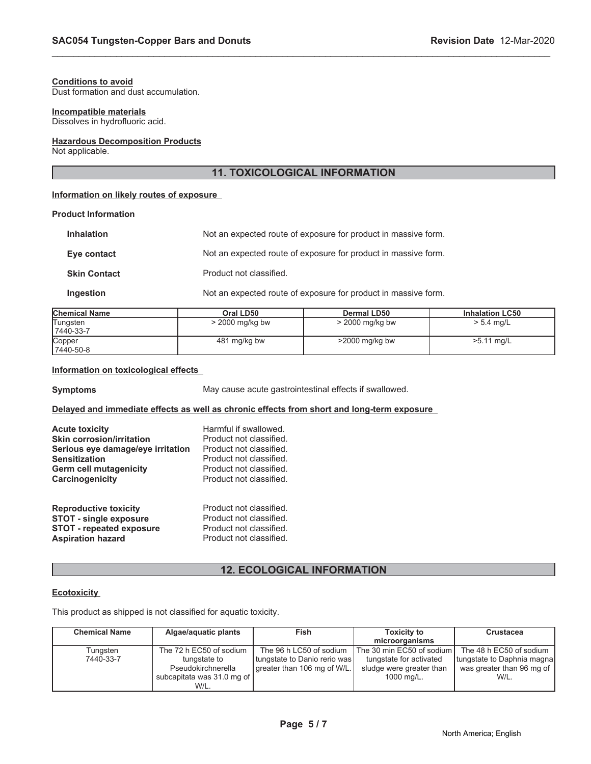#### **Conditions to avoid**

Dust formation and dust accumulation.

#### **Incompatible materials**

Dissolves in hydrofluoric acid.

#### **Hazardous Decomposition Products**

Not applicable.

# **11. TOXICOLOGICAL INFORMATION**

\_\_\_\_\_\_\_\_\_\_\_\_\_\_\_\_\_\_\_\_\_\_\_\_\_\_\_\_\_\_\_\_\_\_\_\_\_\_\_\_\_\_\_\_\_\_\_\_\_\_\_\_\_\_\_\_\_\_\_\_\_\_\_\_\_\_\_\_\_\_\_\_\_\_\_\_\_\_\_\_\_\_\_\_\_\_\_\_\_\_\_\_\_

## **Information on likely routes of exposure**

#### **Product Information**

| <b>Inhalation</b>   | Not an expected route of exposure for product in massive form. |
|---------------------|----------------------------------------------------------------|
| Eye contact         | Not an expected route of exposure for product in massive form. |
| <b>Skin Contact</b> | Product not classified.                                        |
| Ingestion           | Not an expected route of exposure for product in massive form. |

| <b>Chemical Name</b> | Oral LD50         | Dermal LD50       | <b>Inhalation LC50</b> |
|----------------------|-------------------|-------------------|------------------------|
| Tungsten             | $>$ 2000 mg/kg bw | $>$ 2000 mg/kg bw | $> 5.4$ mg/L           |
| 7440-33-7            |                   |                   |                        |
| Copper               | 481 mg/kg bw      | $>2000$ mg/kg bw  | $>5.11$ mg/L           |
| 7440-50-8            |                   |                   |                        |

#### **Information on toxicological effects**

**Symptoms** May cause acute gastrointestinal effects if swallowed.

#### **Delayed and immediate effects as well as chronic effects from short and long-term exposure**

| <b>Acute toxicity</b>             | Harmful if swallowed.   |
|-----------------------------------|-------------------------|
| <b>Skin corrosion/irritation</b>  | Product not classified. |
| Serious eye damage/eye irritation | Product not classified. |
| <b>Sensitization</b>              | Product not classified. |
| <b>Germ cell mutagenicity</b>     | Product not classified. |
| Carcinogenicity                   | Product not classified. |
| <b>Reproductive toxicity</b>      | Product not classified. |
| <b>STOT - single exposure</b>     | Product not classified. |
| <b>STOT - repeated exposure</b>   | Product not classified. |
| <b>Aspiration hazard</b>          | Product not classified. |

# **12. ECOLOGICAL INFORMATION**

#### **Ecotoxicity**

This product as shipped is not classified for aquatic toxicity.

| <b>Chemical Name</b> | Algae/aquatic plants       | Fish                         | <b>Toxicity to</b>          | <b>Crustacea</b>           |
|----------------------|----------------------------|------------------------------|-----------------------------|----------------------------|
|                      |                            |                              | microorganisms              |                            |
| Tungsten             | The 72 h EC50 of sodium    | The 96 h LC50 of sodium      | The 30 min EC50 of sodium I | The 48 h EC50 of sodium    |
| 7440-33-7            | tungstate to               | tungstate to Danio rerio was | tungstate for activated     | tungstate to Daphnia magna |
|                      | Pseudokirchnerella         | greater than 106 mg of W/L.  | sludge were greater than    | was greater than 96 mg of  |
|                      | subcapitata was 31.0 mg of |                              | 1000 mg/L.                  | W/L.                       |
|                      | W/L.                       |                              |                             |                            |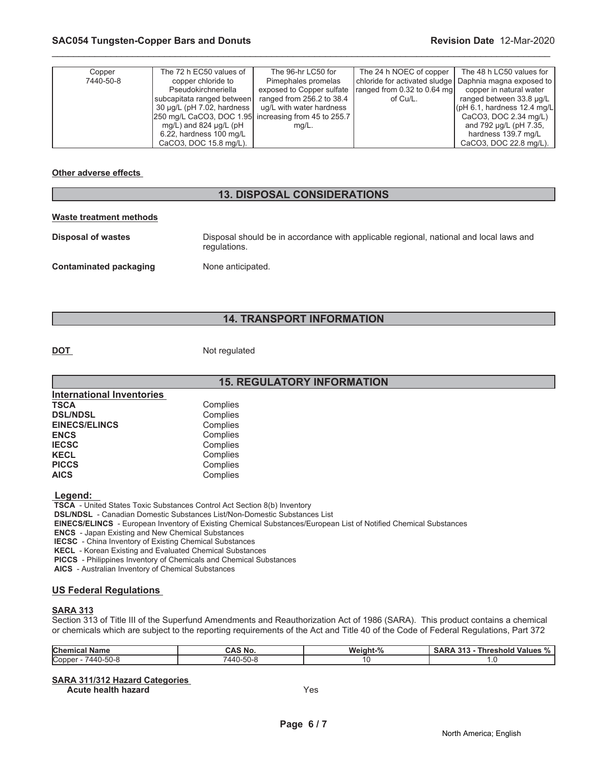| Copper    | The 72 h EC50 values of                              | The 96-hr LC50 for        | The 24 h NOEC of copper       | The 48 h LC50 values for              |
|-----------|------------------------------------------------------|---------------------------|-------------------------------|---------------------------------------|
| 7440-50-8 | copper chloride to                                   | Pimephales promelas       | chloride for activated sludge | Daphnia magna exposed to              |
|           | Pseudokirchneriella                                  | exposed to Copper sulfate | ranged from 0.32 to 0.64 mg   | copper in natural water               |
|           | Isubcapitata ranged between l                        | ranged from 256.2 to 38.4 | of Cu/L.                      | ranged between 33.8 µg/L              |
|           | $30 \mu q/L$ (pH 7.02, hardness                      | ug/L with water hardness  |                               | $\lfloor$ (pH 6.1, hardness 12.4 mg/L |
|           | 250 mg/L CaCO3, DOC 1.95 increasing from 45 to 255.7 |                           |                               | CaCO3, DOC 2.34 mg/L)                 |
|           | mg/L) and 824 $\mu$ g/L (pH                          | $mq/L$ .                  |                               | and 792 µg/L (pH 7.35,                |
|           | $6.22$ , hardness 100 mg/L                           |                           |                               | hardness 139.7 mg/L                   |
|           | CaCO3, DOC 15.8 mg/L).                               |                           |                               | CaCO3, DOC 22.8 mg/L).                |

\_\_\_\_\_\_\_\_\_\_\_\_\_\_\_\_\_\_\_\_\_\_\_\_\_\_\_\_\_\_\_\_\_\_\_\_\_\_\_\_\_\_\_\_\_\_\_\_\_\_\_\_\_\_\_\_\_\_\_\_\_\_\_\_\_\_\_\_\_\_\_\_\_\_\_\_\_\_\_\_\_\_\_\_\_\_\_\_\_\_\_\_\_

#### **Other adverse effects**

# **13. DISPOSAL CONSIDERATIONS**

#### **Waste treatment methods**

| <b>Disposal of wastes</b> | Disposal should be in accordance with applicable regional, national and local laws and<br>regulations. |
|---------------------------|--------------------------------------------------------------------------------------------------------|
| Contaminated packaging    | None anticipated.                                                                                      |

# **14. TRANSPORT INFORMATION**

**DOT** Not regulated

|                           | <b>15. REGULATORY INFORMATION</b> |
|---------------------------|-----------------------------------|
| International Inventories |                                   |
| <b>TSCA</b>               | Complies                          |
| <b>DSL/NDSL</b>           | Complies                          |
| <b>EINECS/ELINCS</b>      | Complies                          |
| <b>ENCS</b>               | Complies                          |
| <b>IECSC</b>              | Complies                          |
| <b>KECL</b>               | Complies                          |
| <b>PICCS</b>              | Complies                          |
| <b>AICS</b>               | Complies                          |
|                           |                                   |

 **Legend:** 

 **TSCA** - United States Toxic Substances Control Act Section 8(b) Inventory

 **DSL/NDSL** - Canadian Domestic Substances List/Non-Domestic Substances List

 **EINECS/ELINCS** - European Inventory of Existing Chemical Substances/European List of Notified Chemical Substances

 **ENCS** - Japan Existing and New Chemical Substances

 **IECSC** - China Inventory of Existing Chemical Substances

 **KECL** - Korean Existing and Evaluated Chemical Substances

 **PICCS** - Philippines Inventory of Chemicals and Chemical Substances

 **AICS** - Australian Inventory of Chemical Substances

#### **US Federal Regulations**

#### **SARA 313**

Section 313 of Title III of the Superfund Amendments and Reauthorization Act of 1986 (SARA). This product contains a chemical or chemicals which are subject to the reporting requirements of the Act and Title 40 of the Code of Federal Regulations, Part 372

| <b>Chemical</b><br>Name | <b>SNO.</b><br>ברש | $\mathbf{a}$<br>Weight | 242<br><b>Values</b><br>.nreshold<br>. п<br>70<br>. . |
|-------------------------|--------------------|------------------------|-------------------------------------------------------|
| Copper<br>7440-50-8     | $-2$<br>-5U-<br>44 |                        |                                                       |

#### **SARA 311/312 Hazard Categories**

**Acute health hazard** Yes